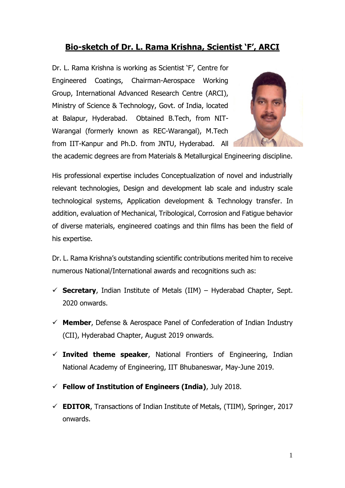# **Bio-sketch of Dr. L. Rama Krishna, Scientist 'F', ARCI**

Dr. L. Rama Krishna is working as Scientist 'F', Centre for Engineered Coatings, Chairman-Aerospace Working Group, International Advanced Research Centre (ARCI), Ministry of Science & Technology, Govt. of India, located at Balapur, Hyderabad. Obtained B.Tech, from NIT-Warangal (formerly known as REC-Warangal), M.Tech from IIT-Kanpur and Ph.D. from JNTU, Hyderabad. All



the academic degrees are from Materials & Metallurgical Engineering discipline.

His professional expertise includes Conceptualization of novel and industrially relevant technologies, Design and development lab scale and industry scale technological systems, Application development & Technology transfer. In addition, evaluation of Mechanical, Tribological, Corrosion and Fatigue behavior of diverse materials, engineered coatings and thin films has been the field of his expertise.

Dr. L. Rama Krishna's outstanding scientific contributions merited him to receive numerous National/International awards and recognitions such as:

- $\checkmark$  **Secretary**, Indian Institute of Metals (IIM) Hyderabad Chapter, Sept. 2020 onwards.
- **Member**, Defense & Aerospace Panel of Confederation of Indian Industry (CII), Hyderabad Chapter, August 2019 onwards.
- $\checkmark$  **Invited theme speaker**, National Frontiers of Engineering, Indian National Academy of Engineering, IIT Bhubaneswar, May-June 2019.
- **Fellow of Institution of Engineers (India)**, July 2018.
- $\checkmark$  **EDITOR**, Transactions of Indian Institute of Metals, (TIIM), Springer, 2017 onwards.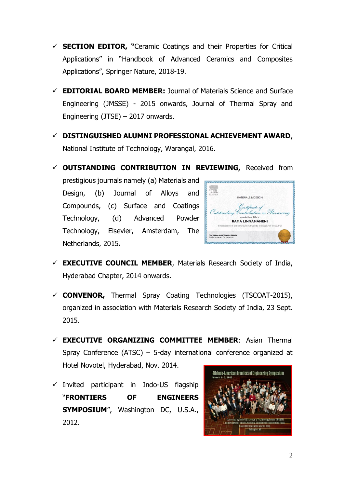- **SECTION EDITOR, "**Ceramic Coatings and their Properties for Critical Applications" in "Handbook of Advanced Ceramics and Composites Applications", Springer Nature, 2018-19.
- **EDITORIAL BOARD MEMBER:** Journal of Materials Science and Surface Engineering (JMSSE) - 2015 onwards, Journal of Thermal Spray and Engineering (JTSE) – 2017 onwards.
- **DISTINGUISHED ALUMNI PROFESSIONAL ACHIEVEMENT AWARD**, National Institute of Technology, Warangal, 2016.
- **OUTSTANDING CONTRIBUTION IN REVIEWING,** Received from

prestigious journals namely (a) Materials and Design, (b) Journal of Alloys and Compounds, (c) Surface and Coatings Technology, (d) Advanced Powder Technology, Elsevier, Amsterdam, The Netherlands, 2015**.**



- **EXECUTIVE COUNCIL MEMBER**, Materials Research Society of India, Hyderabad Chapter, 2014 onwards.
- **CONVENOR,** Thermal Spray Coating Technologies (TSCOAT-2015), organized in association with Materials Research Society of India, 23 Sept. 2015.
- **EXECUTIVE ORGANIZING COMMITTEE MEMBER**: Asian Thermal Spray Conference (ATSC) – 5-day international conference organized at Hotel Novotel, Hyderabad, Nov. 2014.
- $\checkmark$  Invited participant in Indo-US flagship "**FRONTIERS OF ENGINEERS SYMPOSIUM**", Washington DC, U.S.A., 2012.

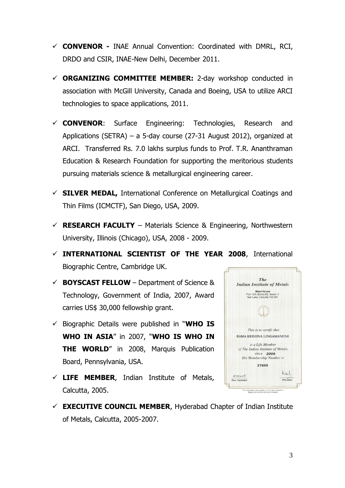- **CONVENOR -** INAE Annual Convention: Coordinated with DMRL, RCI, DRDO and CSIR, INAE-New Delhi, December 2011.
- **ORGANIZING COMMITTEE MEMBER:** 2-day workshop conducted in association with McGill University, Canada and Boeing, USA to utilize ARCI technologies to space applications, 2011.
- **CONVENOR**: Surface Engineering: Technologies, Research and Applications (SETRA) – a 5-day course (27-31 August 2012), organized at ARCI. Transferred Rs. 7.0 lakhs surplus funds to Prof. T.R. Ananthraman Education & Research Foundation for supporting the meritorious students pursuing materials science & metallurgical engineering career.
- **SILVER MEDAL,** International Conference on Metallurgical Coatings and Thin Films (ICMCTF), San Diego, USA, 2009.
- $\checkmark$  **RESEARCH FACULTY** Materials Science & Engineering, Northwestern University, Illinois (Chicago), USA, 2008 - 2009.
- **INTERNATIONAL SCIENTIST OF THE YEAR 2008**, International Biographic Centre, Cambridge UK.
- $\checkmark$  **BOYSCAST FELLOW** Department of Science & Technology, Government of India, 2007, Award carries US\$ 30,000 fellowship grant.
- $\checkmark$  Biographic Details were published in "WHO IS **WHO IN ASIA**" in 2007, "**WHO IS WHO IN THE WORLD**" in 2008, Marquis Publication Board, Pennsylvania, USA.
- **LIFE MEMBER**, Indian Institute of Metals, Calcutta, 2005.
- $\checkmark$  **EXECUTIVE COUNCIL MEMBER**, Hyderabad Chapter of Indian Institute of Metals, Calcutta, 2005-2007.

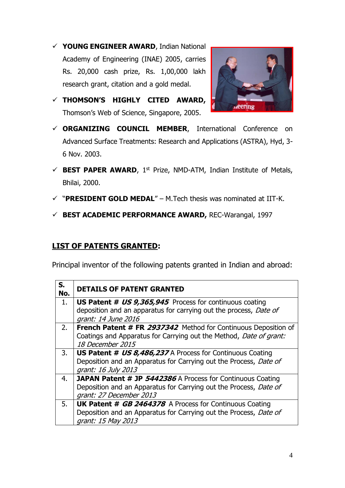**YOUNG ENGINEER AWARD**, Indian National Academy of Engineering (INAE) 2005, carries Rs. 20,000 cash prize, Rs. 1,00,000 lakh research grant, citation and a gold medal.



- **THOMSON'S HIGHLY CITED AWARD,** Thomson's Web of Science, Singapore, 2005.
- **ORGANIZING COUNCIL MEMBER**, International Conference on Advanced Surface Treatments: Research and Applications (ASTRA), Hyd, 3- 6 Nov. 2003.
- $\checkmark$  **BEST PAPER AWARD**, 1<sup>st</sup> Prize, NMD-ATM, Indian Institute of Metals, Bhilai, 2000.
- "**PRESIDENT GOLD MEDAL**" M.Tech thesis was nominated at IIT-K.
- **BEST ACADEMIC PERFORMANCE AWARD,** REC-Warangal, 1997

#### **LIST OF PATENTS GRANTED:**

Principal inventor of the following patents granted in Indian and abroad:

| S.<br>No. | <b>DETAILS OF PATENT GRANTED</b>                                                                                                                                  |
|-----------|-------------------------------------------------------------------------------------------------------------------------------------------------------------------|
| 1.        | <b>US Patent # US 9,365,945</b> Process for continuous coating<br>deposition and an apparatus for carrying out the process, Date of<br>grant: 14 June 2016        |
| 2.        | <b>French Patent # FR 2937342</b> Method for Continuous Deposition of<br>Coatings and Apparatus for Carrying out the Method, Date of grant:<br>18 December 2015   |
| 3.        | <b>US Patent # US 8,486,237</b> A Process for Continuous Coating<br>Deposition and an Apparatus for Carrying out the Process, Date of<br>grant: 16 July 2013      |
| 4.        | <b>JAPAN Patent # JP 5442386</b> A Process for Continuous Coating<br>Deposition and an Apparatus for Carrying out the Process, Date of<br>grant: 27 December 2013 |
| 5.        | <b>UK Patent # GB 2464378</b> A Process for Continuous Coating<br>Deposition and an Apparatus for Carrying out the Process, Date of<br>grant: 15 May 2013         |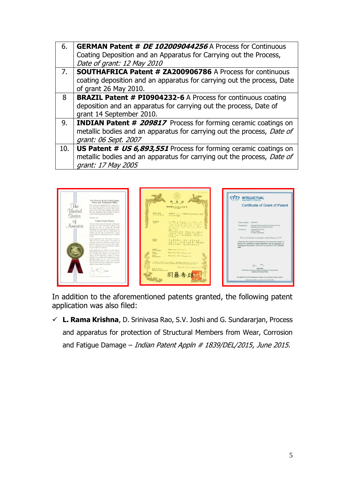| 6.  | <b>GERMAN Patent # DE 102009044256</b> A Process for Continuous<br>Coating Deposition and an Apparatus for Carrying out the Process,<br>Date of grant: 12 May 2010      |
|-----|-------------------------------------------------------------------------------------------------------------------------------------------------------------------------|
| 7.  | SOUTHAFRICA Patent # ZA200906786 A Process for continuous<br>coating deposition and an apparatus for carrying out the process, Date<br>of grant 26 May 2010.            |
| 8   | <b>BRAZIL Patent # PI0904232-6 A Process for continuous coating</b><br>deposition and an apparatus for carrying out the process, Date of<br>grant 14 September 2010.    |
| 9.  | <b>INDIAN Patent # 209817</b> Process for forming ceramic coatings on<br>metallic bodies and an apparatus for carrying out the process, Date of<br>grant: 06 Sept. 2007 |
| 10. | <b>US Patent # US 6,893,551</b> Process for forming ceramic coatings on<br>metallic bodies and an apparatus for carrying out the process, Date of<br>grant: 17 May 2005 |



In addition to the aforementioned patents granted, the following patent application was also filed:

 **L. Rama Krishna**, D. Srinivasa Rao, S.V. Joshi and G. Sundararjan, Process and apparatus for protection of Structural Members from Wear, Corrosion and Fatigue Damage – Indian Patent Appln  $#$  1839/DEL/2015, June 2015.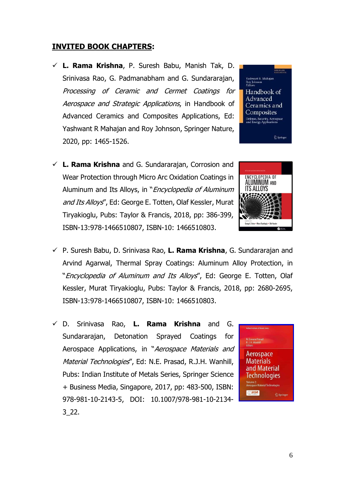#### **INVITED BOOK CHAPTERS:**

- **L. Rama Krishna**, P. Suresh Babu, Manish Tak, D. Srinivasa Rao, G. Padmanabham and G. Sundararajan, Processing of Ceramic and Cermet Coatings for Aerospace and Strategic Applications, in Handbook of Advanced Ceramics and Composites Applications, Ed: Yashwant R Mahajan and Roy Johnson, Springer Nature, 2020, pp: 1465-1526.
- **L. Rama Krishna** and G. Sundararajan, Corrosion and Wear Protection through Micro Arc Oxidation Coatings in Aluminum and Its Alloys, in "*Encyclopedia of Aluminum* and Its Alloys", Ed: George E. Totten, Olaf Kessler, Murat Tiryakioglu, Pubs: Taylor & Francis, 2018, pp: 386-399, ISBN-13:978-1466510807, ISBN-10: 1466510803.





- P. Suresh Babu, D. Srinivasa Rao, **L. Rama Krishna**, G. Sundararajan and Arvind Agarwal, Thermal Spray Coatings: Aluminum Alloy Protection, in "Encyclopedia of Aluminum and Its Alloys", Ed: George E. Totten, Olaf Kessler, Murat Tiryakioglu, Pubs: Taylor & Francis, 2018, pp: 2680-2695, ISBN-13:978-1466510807, ISBN-10: 1466510803.
- D. Srinivasa Rao, **L. Rama Krishna** and G. Sundararajan, Detonation Sprayed Coatings for Aerospace Applications, in "Aerospace Materials and Material Technologies", Ed: N.E. Prasad, R.J.H. Wanhill, Pubs: Indian Institute of Metals Series, Springer Science + Business Media, Singapore, 2017, pp: 483-500, ISBN: 978-981-10-2143-5, DOI: 10.1007/978-981-10-2134- 3\_22.

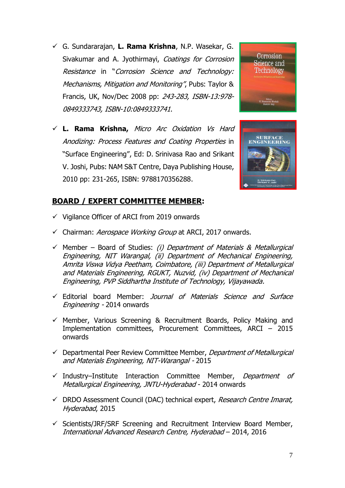- G. Sundararajan, **L. Rama Krishna**, N.P. Wasekar, G. Sivakumar and A. Jyothirmayi, Coatings for Corrosion Resistance in "Corrosion Science and Technology: Mechanisms, Mitigation and Monitoring", Pubs: Taylor & Francis, UK, Nov/Dec 2008 pp: 243-283, ISBN-13:978- 0849333743, ISBN-10:0849333741.
- **L. Rama Krishna,** Micro Arc Oxidation Vs Hard Anodizing: Process Features and Coating Properties in "Surface Engineering", Ed: D. Srinivasa Rao and Srikant V. Joshi, Pubs: NAM S&T Centre, Daya Publishing House, 2010 pp: 231-265, ISBN: 9788170356288.





#### **BOARD / EXPERT COMMITTEE MEMBER:**

- $\checkmark$  Vigilance Officer of ARCI from 2019 onwards
- $\checkmark$  Chairman: Aerospace Working Group at ARCI, 2017 onwards.
- $\checkmark$  Member Board of Studies: (i) Department of Materials & Metallurgical Engineering, NIT Warangal, (ii) Department of Mechanical Engineering, Amrita Viswa Vidya Peetham, Coimbatore, (iii) Department of Metallurgical and Materials Engineering, RGUKT, Nuzvid, (iv) Department of Mechanical Engineering, PVP Siddhartha Institute of Technology, Vijayawada.
- Editorial board Member: Journal of Materials Science and Surface Engineering - 2014 onwards
- $\checkmark$  Member, Various Screening & Recruitment Boards, Policy Making and Implementation committees, Procurement Committees, ARCI – 2015 onwards
- $\checkmark$  Departmental Peer Review Committee Member, *Department of Metallurgical* and Materials Engineering, NIT-Warangal - 2015
- $\checkmark$  Industry–Institute Interaction Committee Member, Department of Metallurgical Engineering, JNTU-Hyderabad - 2014 onwards
- $\checkmark$  DRDO Assessment Council (DAC) technical expert, Research Centre Imarat, Hyderabad, 2015
- $\checkmark$  Scientists/JRF/SRF Screening and Recruitment Interview Board Member, International Advanced Research Centre, Hyderabad – 2014, 2016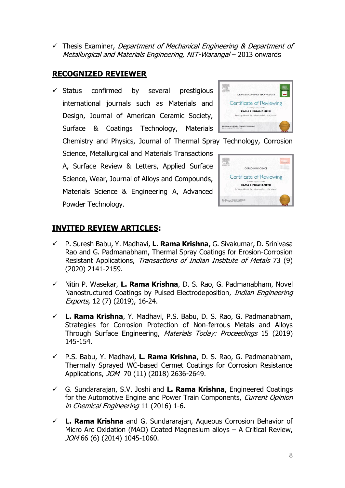8

 $\checkmark$  Thesis Examiner, *Department of Mechanical Engineering & Department of* Metallurgical and Materials Engineering, NIT-Warangal – 2013 onwards

#### **RECOGNIZED REVIEWER**

 $\checkmark$  Status confirmed by several prestigious international journals such as Materials and Design, Journal of American Ceramic Society, Surface & Coatings Technology, Materials

Chemistry and Physics, Journal of Thermal Spray Technology, Corrosion Science, Metallurgical and Materials Transactions 冠 A, Surface Review & Letters, Applied Surface

Science, Wear, Journal of Alloys and Compounds, Materials Science & Engineering A, Advanced Powder Technology.

## **INVITED REVIEW ARTICLES:**

- P. Suresh Babu, Y. Madhavi, **L. Rama Krishna**, G. Sivakumar, D. Srinivasa Rao and G. Padmanabham, Thermal Spray Coatings for Erosion-Corrosion Resistant Applications, Transactions of Indian Institute of Metals 73 (9) (2020) 2141-2159.
- Nitin P. Wasekar, **L. Rama Krishna**, D. S. Rao, G. Padmanabham, Novel Nanostructured Coatings by Pulsed Electrodeposition, Indian Engineering Exports, 12 (7) (2019), 16-24.
- **L. Rama Krishna**, Y. Madhavi, P.S. Babu, D. S. Rao, G. Padmanabham, Strategies for Corrosion Protection of Non-ferrous Metals and Alloys Through Surface Engineering, Materials Today: Proceedings 15 (2019) 145-154.
- P.S. Babu, Y. Madhavi, **L. Rama Krishna**, D. S. Rao, G. Padmanabham, Thermally Sprayed WC-based Cermet Coatings for Corrosion Resistance Applications, JOM 70 (11) (2018) 2636-2649.
- G. Sundararajan, S.V. Joshi and **L. Rama Krishna**, Engineered Coatings for the Automotive Engine and Power Train Components, Current Opinion in Chemical Engineering 11 (2016) 1-6.
- **L. Rama Krishna** and G. Sundararajan, Aqueous Corrosion Behavior of Micro Arc Oxidation (MAO) Coated Magnesium alloys – A Critical Review, JOM 66 (6) (2014) 1045-1060.



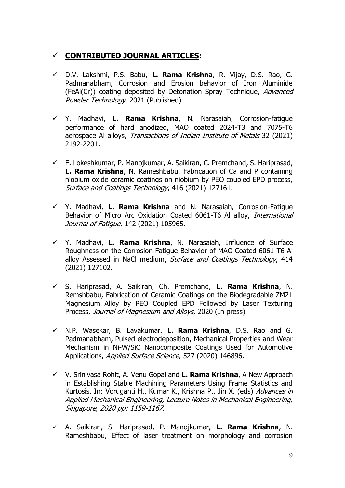### **CONTRIBUTED JOURNAL ARTICLES:**

- D.V. Lakshmi, P.S. Babu, **L. Rama Krishna**, R. Vijay, D.S. Rao, G. Padmanabham, Corrosion and Erosion behavior of Iron Aluminide (FeAl(Cr)) coating deposited by Detonation Spray Technique, Advanced Powder Technology, 2021 (Published)
- Y. Madhavi, **L. Rama Krishna**, N. Narasaiah, Corrosion-fatigue performance of hard anodized, MAO coated 2024-T3 and 7075-T6 aerospace Al alloys, Transactions of Indian Institute of Metals 32 (2021) 2192-2201.
- $\checkmark$  E. Lokeshkumar, P. Manojkumar, A. Saikiran, C. Premchand, S. Hariprasad, **L. Rama Krishna**, N. Rameshbabu, Fabrication of Ca and P containing niobium oxide ceramic coatings on niobium by PEO coupled EPD process, Surface and Coatings Technology, 416 (2021) 127161.
- Y. Madhavi, **L. Rama Krishna** and N. Narasaiah, Corrosion-Fatigue Behavior of Micro Arc Oxidation Coated 6061-T6 Al alloy, International Journal of Fatigue, 142 (2021) 105965.
- Y. Madhavi, **L. Rama Krishna**, N. Narasaiah, Influence of Surface Roughness on the Corrosion-Fatigue Behavior of MAO Coated 6061-T6 Al alloy Assessed in NaCl medium, Surface and Coatings Technology, 414 (2021) 127102.
- S. Hariprasad, A. Saikiran, Ch. Premchand, **L. Rama Krishna**, N. Remshbabu, Fabrication of Ceramic Coatings on the Biodegradable ZM21 Magnesium Alloy by PEO Coupled EPD Followed by Laser Texturing Process, Journal of Magnesium and Alloys, 2020 (In press)
- N.P. Wasekar, B. Lavakumar, **L. Rama Krishna**, D.S. Rao and G. Padmanabham, Pulsed electrodeposition, Mechanical Properties and Wear Mechanism in Ni-W/SiC Nanocomposite Coatings Used for Automotive Applications, Applied Surface Science, 527 (2020) 146896.
- V. Srinivasa Rohit, A. Venu Gopal and **L. Rama Krishna**, A New Approach in Establishing Stable Machining Parameters Using Frame Statistics and Kurtosis. In: Voruganti H., Kumar K., Krishna P., Jin X. (eds) Advances in Applied Mechanical Engineering, Lecture Notes in Mechanical Engineering, Singapore, 2020 pp: 1159-1167.
- A. Saikiran, S. Hariprasad, P. Manojkumar, **L. Rama Krishna**, N. Rameshbabu, Effect of laser treatment on morphology and corrosion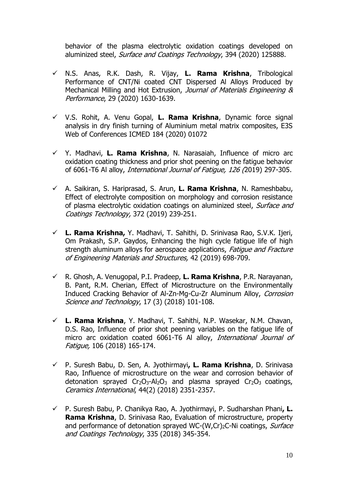behavior of the plasma electrolytic oxidation coatings developed on aluminized steel, Surface and Coatings Technology, 394 (2020) 125888.

- N.S. Anas, R.K. Dash, R. Vijay, **L. Rama Krishna**, Tribological Performance of CNT/Ni coated CNT Dispersed Al Alloys Produced by Mechanical Milling and Hot Extrusion, Journal of Materials Engineering & Performance, 29 (2020) 1630-1639.
- V.S. Rohit, A. Venu Gopal, **L. Rama Krishna**, Dynamic force signal analysis in dry finish turning of Aluminium metal matrix composites, E3S Web of Conferences ICMED 184 (2020) 01072
- $Y$  Y. Madhavi, **L. Rama Krishna**, N. Narasaiah, Influence of micro arc oxidation coating thickness and prior shot peening on the fatigue behavior of 6061-T6 Al alloy, International Journal of Fatigue, 126 (2019) 297-305.
- A. Saikiran, S. Hariprasad, S. Arun, **L. Rama Krishna**, N. Rameshbabu, Effect of electrolyte composition on morphology and corrosion resistance of plasma electrolytic oxidation coatings on aluminized steel, Surface and Coatings Technology, 372 (2019) 239-251.
- **L. Rama Krishna,** Y. Madhavi, T. Sahithi, D. Srinivasa Rao, S.V.K. Ijeri, Om Prakash, S.P. Gaydos, Enhancing the high cycle fatigue life of high strength aluminum alloys for aerospace applications, Fatigue and Fracture of Engineering Materials and Structures, 42 (2019) 698-709.
- R. Ghosh, A. Venugopal, P.I. Pradeep, **L. Rama Krishna**, P.R. Narayanan, B. Pant, R.M. Cherian, Effect of Microstructure on the Environmentally Induced Cracking Behavior of Al-Zn-Mg-Cu-Zr Aluminum Alloy, Corrosion Science and Technology, 17 (3) (2018) 101-108.
- **L. Rama Krishna**, Y. Madhavi, T. Sahithi, N.P. Wasekar, N.M. Chavan, D.S. Rao, Influence of prior shot peening variables on the fatigue life of micro arc oxidation coated 6061-T6 Al alloy, International Journal of Fatigue, 106 (2018) 165-174.
- P. Suresh Babu, D. Sen, A. Jyothirmayi**, L. Rama Krishna**, D. Srinivasa Rao, Influence of microstructure on the wear and corrosion behavior of detonation sprayed  $Cr_2O_3$ -Al<sub>2</sub>O<sub>3</sub> and plasma sprayed  $Cr_2O_3$  coatings, Ceramics International, 44(2) (2018) 2351-2357.
- P. Suresh Babu, P. Chanikya Rao, A. Jyothirmayi, P. Sudharshan Phani**, L. Rama Krishna**, D. Srinivasa Rao, Evaluation of microstructure, property and performance of detonation sprayed WC-(W,Cr)<sub>2</sub>C-Ni coatings, Surface and Coatings Technology, 335 (2018) 345-354.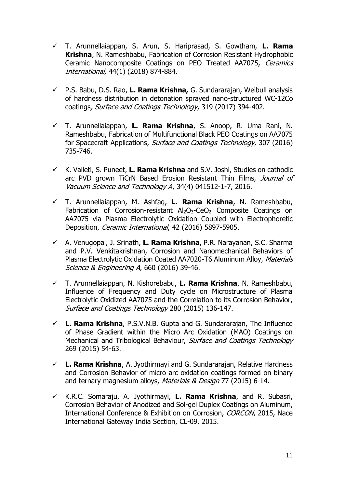- T. Arunnellaiappan, S. Arun, S. Hariprasad, S. Gowtham, **L. Rama Krishna**, N. Rameshbabu, Fabrication of Corrosion Resistant Hydrophobic Ceramic Nanocomposite Coatings on PEO Treated AA7075, Ceramics International, 44(1) (2018) 874-884.
- P.S. Babu, D.S. Rao, **L. Rama Krishna,** G. Sundararajan, Weibull analysis of hardness distribution in detonation sprayed nano-structured WC-12Co coatings, Surface and Coatings Technology, 319 (2017) 394-402.
- T. Arunnellaiappan, **L. Rama Krishna**, S. Anoop, R. Uma Rani, N. Rameshbabu, Fabrication of Multifunctional Black PEO Coatings on AA7075 for Spacecraft Applications, Surface and Coatings Technology, 307 (2016) 735-746.
- K. Valleti, S. Puneet, **L. Rama Krishna** and S.V. Joshi, Studies on cathodic arc PVD grown TiCrN Based Erosion Resistant Thin Films, Journal of Vacuum Science and Technology A, 34(4) 041512-1-7, 2016.
- T. Arunnellaiappan, M. Ashfaq, **L. Rama Krishna**, N. Rameshbabu, Fabrication of Corrosion-resistant Al<sub>2</sub>O<sub>3</sub>-CeO<sub>2</sub> Composite Coatings on AA7075 via Plasma Electrolytic Oxidation Coupled with Electrophoretic Deposition, Ceramic International, 42 (2016) 5897-5905.
- A. Venugopal, J. Srinath, **L. Rama Krishna**, P.R. Narayanan, S.C. Sharma and P.V. Venkitakrishnan, Corrosion and Nanomechanical Behaviors of Plasma Electrolytic Oxidation Coated AA7020-T6 Aluminum Alloy, Materials Science & Engineering A, 660 (2016) 39-46.
- T. Arunnellaiappan, N. Kishorebabu, **L. Rama Krishna**, N. Rameshbabu, Influence of Frequency and Duty cycle on Microstructure of Plasma Electrolytic Oxidized AA7075 and the Correlation to its Corrosion Behavior, Surface and Coatings Technology 280 (2015) 136-147.
- **L. Rama Krishna**, P.S.V.N.B. Gupta and G. Sundararajan, The Influence of Phase Gradient within the Micro Arc Oxidation (MAO) Coatings on Mechanical and Tribological Behaviour, Surface and Coatings Technology 269 (2015) 54-63.
- **L. Rama Krishna**, A. Jyothirmayi and G. Sundararajan, Relative Hardness and Corrosion Behavior of micro arc oxidation coatings formed on binary and ternary magnesium alloys, Materials & Design 77 (2015) 6-14.
- K.R.C. Somaraju, A. Jyothirmayi, **L. Rama Krishna**, and R. Subasri, Corrosion Behavior of Anodized and Sol-gel Duplex Coatings on Aluminum, International Conference & Exhibition on Corrosion, CORCON, 2015, Nace International Gateway India Section, CL-09, 2015.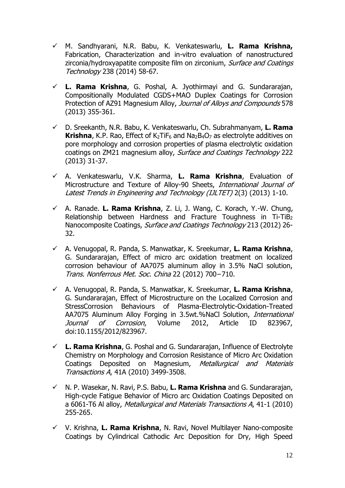- M. Sandhyarani, N.R. Babu, K. Venkateswarlu, **L. Rama Krishna,**  Fabrication, Characterization and in-vitro evaluation of nanostructured zirconia/hydroxyapatite composite film on zirconium, Surface and Coatings Technology 238 (2014) 58-67.
- **L. Rama Krishna**, G. Poshal, A. Jyothirmayi and G. Sundararajan, Compositionally Modulated CGDS+MAO Duplex Coatings for Corrosion Protection of AZ91 Magnesium Alloy, Journal of Alloys and Compounds 578 (2013) 355-361.
- D. Sreekanth, N.R. Babu, K. Venkateswarlu, Ch. Subrahmanyam, **L. Rama Krishna**, K.P. Rao, Effect of  $K_2$ TiF<sub>6</sub> and Na<sub>2</sub>B<sub>4</sub>O<sub>7</sub> as electrolyte additives on pore morphology and corrosion properties of plasma electrolytic oxidation coatings on ZM21 magnesium alloy, Surface and Coatings Technology 222 (2013) 31-37.
- A. Venkateswarlu, V.K. Sharma, **L. Rama Krishna**, Evaluation of Microstructure and Texture of Alloy-90 Sheets, International Journal of Latest Trends in Engineering and Technology (IJLTET) 2(3) (2013) 1-10.
- A. Ranade. **L. Rama Krishna**, Z. Li, J. Wang, C. Korach, Y.-W. Chung, Relationship between Hardness and Fracture Toughness in Ti-TiB<sub>2</sub> Nanocomposite Coatings, Surface and Coatings Technology 213 (2012) 26-32.
- A. Venugopal, R. Panda, S. Manwatkar, K. Sreekumar, **L. Rama Krishna**, G. Sundararajan, Effect of micro arc oxidation treatment on localized corrosion behaviour of AA7075 aluminum alloy in 3.5% NaCl solution, Trans. Nonferrous Met. Soc. China 22 (2012) 700−710.
- A. Venugopal, R. Panda, S. Manwatkar, K. Sreekumar, **L. Rama Krishna**, G. Sundararajan, Effect of Microstructure on the Localized Corrosion and StressCorrosion Behaviours of Plasma-Electrolytic-Oxidation-Treated AA7075 Aluminum Alloy Forging in 3.5wt.%NaCl Solution, International Journal of Corrosion, Volume 2012, Article ID 823967, doi:10.1155/2012/823967.
- **L. Rama Krishna**, G. Poshal and G. Sundararajan, Influence of Electrolyte Chemistry on Morphology and Corrosion Resistance of Micro Arc Oxidation Coatings Deposited on Magnesium, Metallurgical and Materials Transactions A, 41A (2010) 3499-3508.
- N. P. Wasekar, N. Ravi, P.S. Babu, **L. Rama Krishna** and G. Sundararajan, High-cycle Fatigue Behavior of Micro arc Oxidation Coatings Deposited on a 6061-T6 Al alloy, Metallurgical and Materials Transactions A, 41-1 (2010) 255-265.
- V. Krishna, **L. Rama Krishna**, N. Ravi, Novel Multilayer Nano-composite Coatings by Cylindrical Cathodic Arc Deposition for Dry, High Speed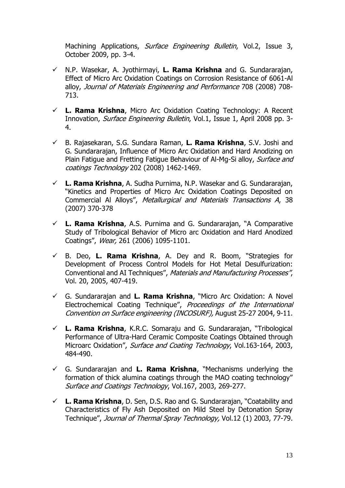Machining Applications, Surface Engineering Bulletin, Vol.2, Issue 3, October 2009, pp. 3-4.

- N.P. Wasekar, A. Jyothirmayi, **L. Rama Krishna** and G. Sundararajan, Effect of Micro Arc Oxidation Coatings on Corrosion Resistance of 6061-Al alloy, Journal of Materials Engineering and Performance 708 (2008) 708- 713.
- **L. Rama Krishna**, Micro Arc Oxidation Coating Technology: A Recent Innovation, Surface Engineering Bulletin, Vol.1, Issue 1, April 2008 pp. 3- 4.
- B. Rajasekaran, S.G. Sundara Raman, **L. Rama Krishna**, S.V. Joshi and G. Sundararajan, Influence of Micro Arc Oxidation and Hard Anodizing on Plain Fatigue and Fretting Fatigue Behaviour of Al-Mg-Si alloy, Surface and coatings Technology 202 (2008) 1462-1469.
- **L. Rama Krishna**, A. Sudha Purnima, N.P. Wasekar and G. Sundararajan, "Kinetics and Properties of Micro Arc Oxidation Coatings Deposited on Commercial Al Alloys", Metallurgical and Materials Transactions A, 38 (2007) 370-378
- **L. Rama Krishna**, A.S. Purnima and G. Sundararajan, "A Comparative Study of Tribological Behavior of Micro arc Oxidation and Hard Anodized Coatings", Wear, 261 (2006) 1095-1101.
- B. Deo, **L. Rama Krishna**, A. Dey and R. Boom, "Strategies for Development of Process Control Models for Hot Metal Desulfurization: Conventional and AI Techniques", Materials and Manufacturing Processes", Vol. 20, 2005, 407-419.
- G. Sundararajan and **L. Rama Krishna**, "Micro Arc Oxidation: A Novel Electrochemical Coating Technique", Proceedings of the International Convention on Surface engineering (INCOSURF), August 25-27 2004, 9-11.
- **L. Rama Krishna**, K.R.C. Somaraju and G. Sundararajan, "Tribological Performance of Ultra-Hard Ceramic Composite Coatings Obtained through Microarc Oxidation", Surface and Coating Technology, Vol.163-164, 2003, 484-490.
- $\checkmark$  G. Sundararajan and **L. Rama Krishna**, "Mechanisms underlying the formation of thick alumina coatings through the MAO coating technology" Surface and Coatings Technology, Vol.167, 2003, 269-277.
- **L. Rama Krishna**, D. Sen, D.S. Rao and G. Sundararajan, "Coatability and Characteristics of Fly Ash Deposited on Mild Steel by Detonation Spray Technique", Journal of Thermal Spray Technology, Vol.12 (1) 2003, 77-79.